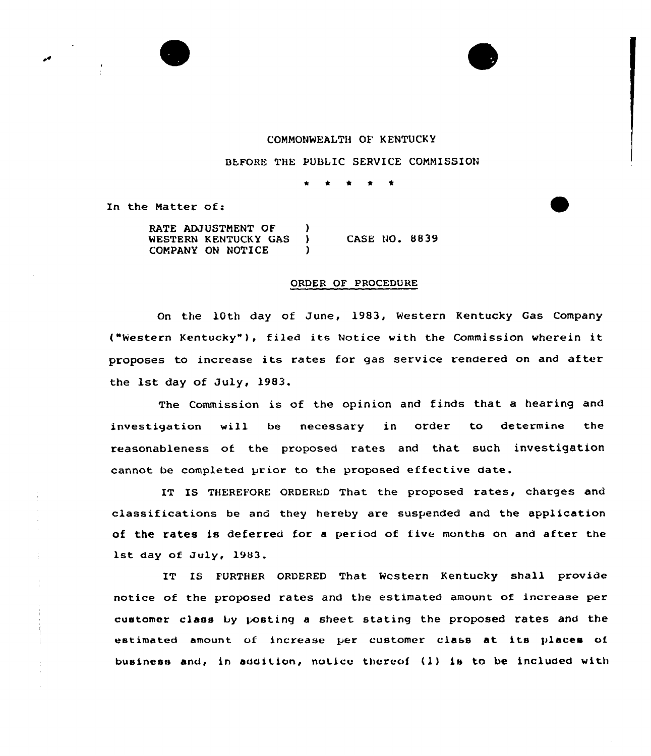



## COMMONWEALTH OF KENTUCKY

BEFORE THE PUBLIC SERVICE COMMISSION

\* \* t

In the Natter of:

RATE ADJUSTMENT OF )<br>WESTERN KENTUCKY GAS WESTERN KENTUCKY GAS ) COMPANY ON NOTICE CASE NO. 8839

## ORDER OF PROCEDURE

On the 10th day of June, 1983, Western Kentucky Gas Company ("Western Kentucky" ), filed its Notice with the Commission wherein it proposes to increase its rates for gas service rendered on and after the 1st day of July, 1983.

The Commission is of the opinion and finds that a hearing and investigation will be necessary in order to determine the reasonableness of the proposed rates and that such investigation cannot be completed prior to the proposed effective date.

IT IS THEREFORE ORDERED That the proposed rates, charges and classifications be and they hereby axe suspended and the application of the rates is deferred for a period of five months on and after the lst day of July, 1983.

IT IS FURTHER ORDERED That Western Kentucky shall provide notice of the proposed rates and the estimated amount of increase per customer class by posting a sheet stating the pxoposed rates and the estimated amount of increase per customer class at its places of business and, in addition, notice thereof (1) is to be included with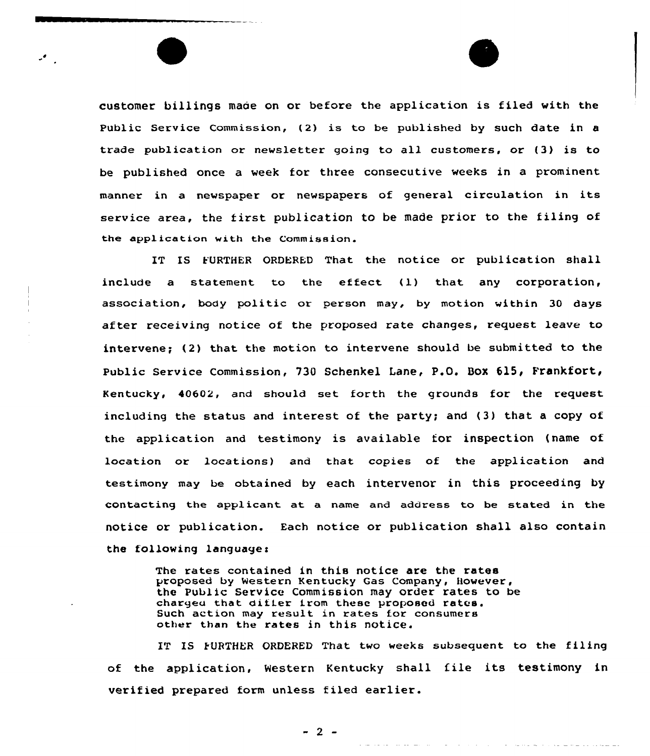customer billings made on or before the application is filed with the Public Service Commission, {2) is to be published by such date in a trade publication or newsletter going to all customers, or (3) is to be published once a week for three consecutive weeks in a prominent manner in <sup>a</sup> newspaper or newspapers of general circulation in its service area, the first publication to be made prior to the filing of the applicatian with the Commission.

IT IS FURTHER ORDERED That the notice or publication shall include <sup>a</sup> statement to the effect {l) that any corporation, association, body politic ar person may, by motion within 30 days after receiving notice of the proposed rate changes, request leave to intervene; (2) that the motion to intervene should be submitted to the Public Service Commission, 730 Schenkel Lane, P.O. Box 615, Frankfort, Kentucky, 40602, and should set forth the grounds for the request including the status and interest of the party; and (3) that a copy of the application and testimony is available for inspection (name of location or locations} and that copies of the application and testimony may be obtained by each intervenor in this proceeding by contacting the applicant at a name and address to be stated in the notice or publication. Each notice or publication shall also contain the following languages

> The rates contained in this notice are the rates proposed by Western Kentucky Gas Company, However, the Public Service Commission may order rates to be charged that differ from these proposed rates. Such action may result in rates for consumers other than the rates in this notice.

IT IS FURTHER ORDERED That two weeks subsequent to the filing of the application, Western Kentucky shall file its testimony in verified prepared form unless filed earlier.

 $-2 -$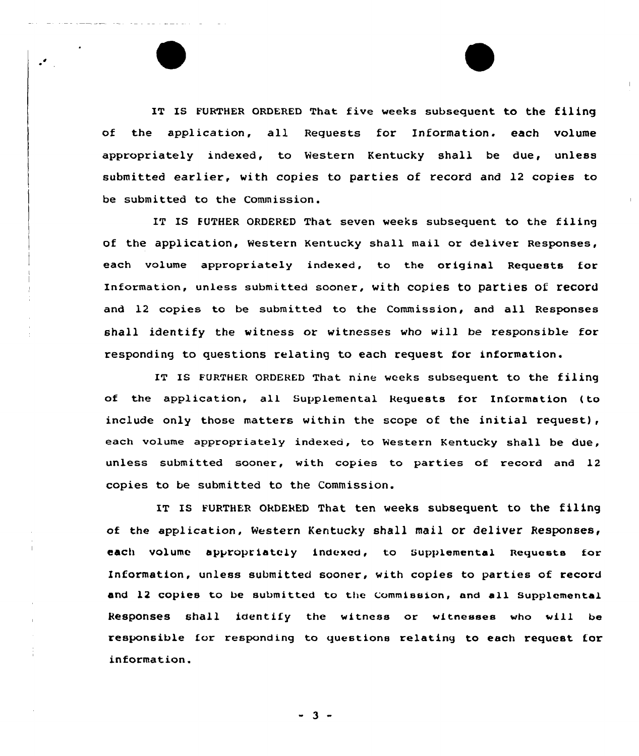IT IS FURTHER ORDERED That five weeks subsequent to the filing of the application, all Requests for Information. each volume appropriately indexed, to Western Kentucky shall be due, unless submitted earlier, with copies to parties of record and 12 copies to be submitted to the Commission.

 $\overline{\phantom{a}}$ 

IT IS FUTHER ORDERED That seven weeks subsequent to the filing of the application, Western Kentucky shall mail or deliver Responses, each volume appropriately indexed, to the original Requests for Information, unless submitted sooner, with copies to parties of record and 12 copies to be submitted to the Commission, and all Responses shall identify the witness or witnesses who will be responsible for responding to questions relating to each request for information.

IT IS FURTHER ORDERED That nine weeks subsequent to the filing of the application, all Supplemental Requests for Information (to include only those matters within the scope of the initial request), each volume appropriately indexed, to Western Kentucky shall be due, unless submitted sooner, with copies to parties of record and 12 copies to be submitted to the Commission.

IT IS FURTHER ORDERED That ten weeks subsequent to the filing of the application, Western Kentucky shall mail or deliver Responses, each volume appropriately indexed, to Supplemental Requests for Information, unless submitted sooner, with copies to parties of record and 12 copies to be submitted to the Commission, and all Supplemental Responses shall identify the witness or witnesses who vill be responsible for responding to questions relating to each request for information.

- 3 -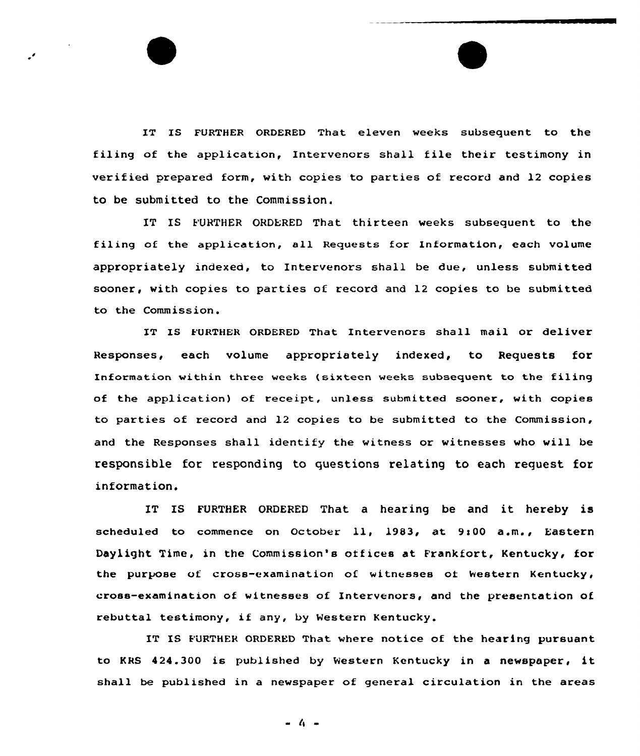IT IS FURTHER ORDERED That eleven weeks subsequent to the filing of the application, Intervenors shall file their testimony in verified prepared form, with copies to parties of record and 12 copies to be submitted to the Commission.

IT IS FURTHER ORDERED That thirteen weeks subsequent to the filing of the application, all Requests for Information, each volume appropriately indexed, to Intervenors shall be due, unless submitted sooner, with copies to parties of record and 12 copies to be submitted to the Commission.

IT IS FURTHER ORDERED That Intervenors shall mail or deliver Responses, each volume appropriately indexed, to Requests for Information within three weeks (sixteen weeks subsequent to the filing of the application) of receipt, unless submitted sooner, with copies to parties of record and 12 copies to be submitted to the Commission, and the Responses shall identify the witness or witnesses who will be responsible for responding to questions relating to each request for information.

IT IS FURTHER ORDERED That <sup>a</sup> hearing be and it hereby is scheduled to commence on October 11, 1983, at 9:00 a.m., Eastern Daylight Time, in the Commission's offices at Frankfort, Kentucky, for the purpose of cross-examination of witnesses of Western Kentucky, cross-examination of witnesses of Intervenors, and the presentation of rebuttal testimony, if any, by Western Kentucky.

IT IS FURTHER ORDERED That where notice of the hearing pursuant to KRS 424.300 is published by Western Kentucky in <sup>a</sup> newspaper, it shall be published in a newspaper of general circulation in the areas

- 4 -